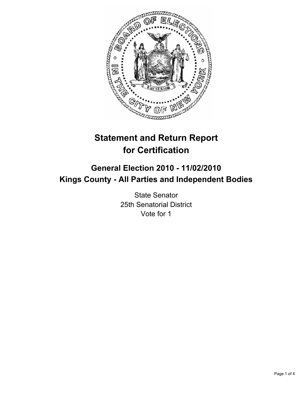

# **Statement and Return Report for Certification**

# **General Election 2010 - 11/02/2010 Kings County - All Parties and Independent Bodies**

State Senator 25th Senatorial District Vote for 1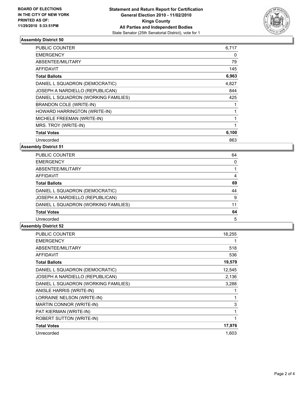

## **Assembly District 50**

| PUBLIC COUNTER                       | 6,717 |
|--------------------------------------|-------|
| <b>EMERGENCY</b>                     | 0     |
| ABSENTEE/MILITARY                    | 79    |
| <b>AFFIDAVIT</b>                     | 145   |
| <b>Total Ballots</b>                 | 6,963 |
| DANIEL L SQUADRON (DEMOCRATIC)       | 4,827 |
| JOSEPH A NARDIELLO (REPUBLICAN)      | 844   |
| DANIEL L SQUADRON (WORKING FAMILIES) | 425   |
| <b>BRANDON COLE (WRITE-IN)</b>       |       |
| HOWARD HARRINGTON (WRITE-IN)         |       |
| MICHELE FREEMAN (WRITE-IN)           | 1     |
| MRS. TROY (WRITE-IN)                 | 1     |
| <b>Total Votes</b>                   | 6,100 |
| Unrecorded                           | 863   |

**Assembly District 51**

| 64 |
|----|
| 0  |
|    |
| 4  |
| 69 |
| 44 |
| 9  |
| 11 |
| 64 |
| 5  |
|    |

#### **Assembly District 52**

| <b>PUBLIC COUNTER</b>                | 18,255 |
|--------------------------------------|--------|
| <b>EMERGENCY</b>                     | 1      |
| ABSENTEE/MILITARY                    | 518    |
| <b>AFFIDAVIT</b>                     | 536    |
| <b>Total Ballots</b>                 | 19,579 |
| DANIEL L SQUADRON (DEMOCRATIC)       | 12,545 |
| JOSEPH A NARDIELLO (REPUBLICAN)      | 2,136  |
| DANIEL L SQUADRON (WORKING FAMILIES) | 3,288  |
| ANISLE HARRIS (WRITE-IN)             |        |
| LORRAINE NELSON (WRITE-IN)           |        |
| MARTIN CONNOR (WRITE-IN)             | 3      |
| PAT KIERMAN (WRITE-IN)               |        |
| <b>ROBERT SUTTON (WRITE-IN)</b>      | 1      |
| <b>Total Votes</b>                   | 17,976 |
| Unrecorded                           | 1.603  |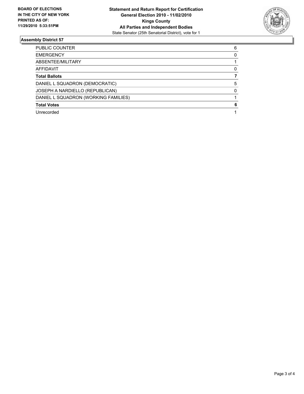

## **Assembly District 57**

| Unrecorded                           |   |
|--------------------------------------|---|
| <b>Total Votes</b>                   | 6 |
| DANIEL L SQUADRON (WORKING FAMILIES) |   |
| JOSEPH A NARDIELLO (REPUBLICAN)      | 0 |
| DANIEL L SQUADRON (DEMOCRATIC)       | 5 |
| <b>Total Ballots</b>                 |   |
| <b>AFFIDAVIT</b>                     | 0 |
| ABSENTEE/MILITARY                    |   |
| <b>EMERGENCY</b>                     | 0 |
| <b>PUBLIC COUNTER</b>                | 6 |